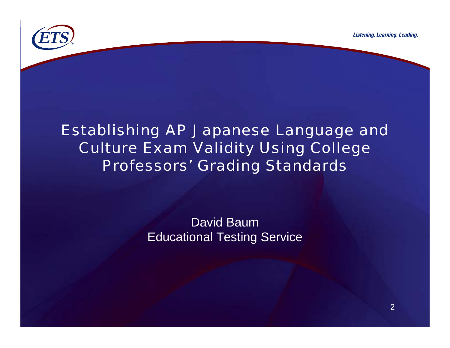

#### Establishing AP Japanese Language and Culture Exam Validity Using College Professors' Grading Standards

David BaumEducational Testing Service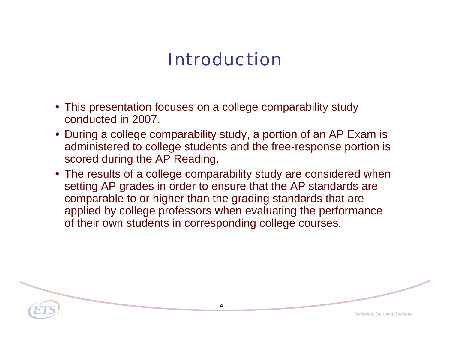# Introduction

- This presentation focuses on a college comparability study conducted in 2007.
- During a college comparability study, a portion of an AP Exam is administered to college students and the free-response portion is scored during the AP Reading.
- The results of a college comparability study are considered when setting AP grades in order to ensure that the AP standards are comparable to or higher than the grading standards that are applied by college professors when evaluating the performance of their own students in corresponding college courses.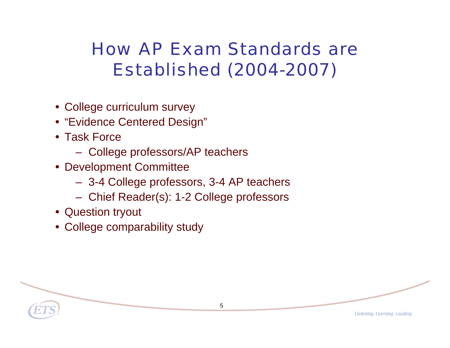## How AP Exam Standards are Established (2004-2007)

- College curriculum survey
- "Evidence Centered Design"
- Task Force
	- College professors/AP teachers
- Development Committee
	- 3-4 College professors, 3-4 AP teachers
	- Chief Reader(s): 1-2 College professors
- Question tryout
- College comparability study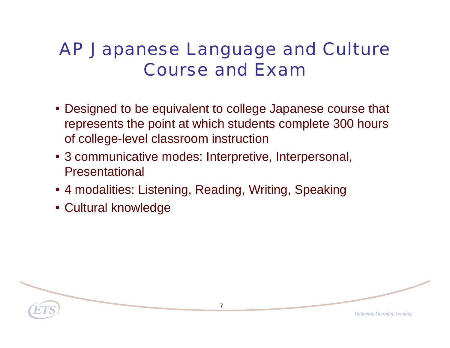### AP Japanese Language and Culture Course and Exam

- Designed to be equivalent to college Japanese course that represents the point at which students complete 300 hours of college-level classroom instruction
- 3 communicative modes: Interpretive, Interpersonal, Presentational
- 4 modalities: Listening, Reading, Writing, Speaking
- Cultural knowledge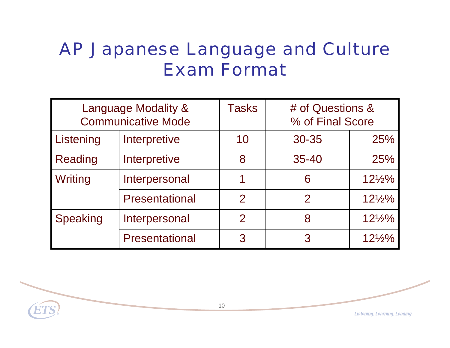### AP Japanese Language and Culture Exam Format

| Language Modality &<br><b>Communicative Mode</b> |                       | <b>Tasks</b>  | # of Questions &<br>% of Final Score |                   |
|--------------------------------------------------|-----------------------|---------------|--------------------------------------|-------------------|
| Listening                                        | Interpretive          | 10            | 30-35                                | 25%               |
| <b>Reading</b>                                   | Interpretive          | 8             | $35 - 40$                            | 25%               |
| Writing                                          | Interpersonal         |               | 6                                    | $12\frac{1}{2}\%$ |
|                                                  | <b>Presentational</b> | $\mathcal{P}$ | $\mathcal P$                         | $12\frac{1}{2}\%$ |
| Speaking                                         | Interpersonal         | $\mathcal P$  | 8                                    | $12\frac{1}{2}\%$ |
|                                                  | <b>Presentational</b> | 3             | 3                                    | $12\frac{1}{2}\%$ |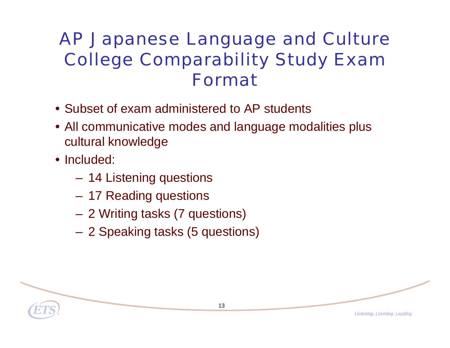## AP Japanese Language and Culture College Comparability Study Exam Format

- Subset of exam administered to AP students
- All communicative modes and language modalities plus cultural knowledge
- Included:
	- $\mathcal{L}_{\mathcal{A}}$  , the state of the state  $\mathcal{L}_{\mathcal{A}}$ 14 Listening questions
	- $\mathcal{L}_{\mathcal{A}}$  , the state of the state  $\mathcal{L}_{\mathcal{A}}$ 17 Reading questions
	- –2 Writing tasks (7 questions)
	- $\mathcal{L}_{\mathcal{A}}$  , the state of the state  $\mathcal{L}_{\mathcal{A}}$ 2 Speaking tasks (5 questions)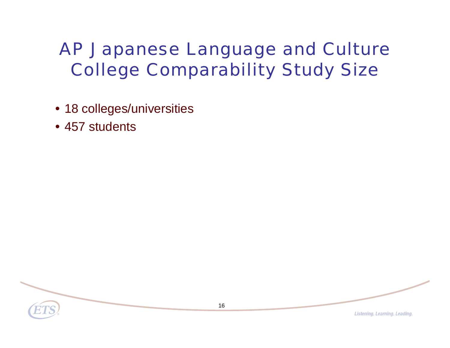# AP Japanese Language and Culture College Comparability Study Size

- 18 colleges/universities
- 457 students

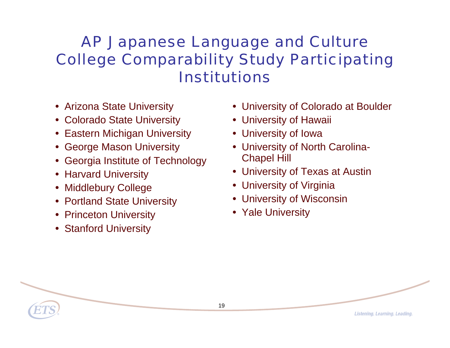#### AP Japanese Language and Culture College Comparability Study Participating Institutions

- Arizona State University
- Colorado State University
- Eastern Michigan University
- George Mason University
- Georgia Institute of Technology
- Harvard University
- Middlebury College
- Portland State University
- Princeton University
- Stanford University
- University of Colorado at Boulder
- University of Hawaii
- University of Iowa
- University of North Carolina-Chapel Hill
- University of Texas at Austin
- University of Virginia
- University of Wisconsin
- Yale University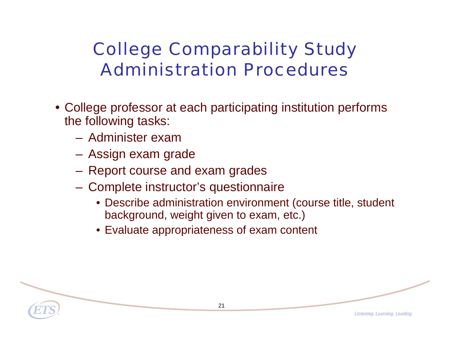## College Comparability Study Administration Procedures

- College professor at each participating institution performs the following tasks:
	- Administer exam
	- $\mathcal{L}_{\mathcal{A}}$  , the state of the state  $\mathcal{L}_{\mathcal{A}}$ Assign exam grade
	- $\mathcal{L}_{\mathcal{A}}$  , the state of the state  $\mathcal{L}_{\mathcal{A}}$ Report course and exam grades
	- $\mathcal{L}_{\mathcal{A}}$  Complete instructor's questionnaire
		- Describe administration environment (course title, student background, weight given to exam, etc.)
		- Evaluate appropriateness of exam content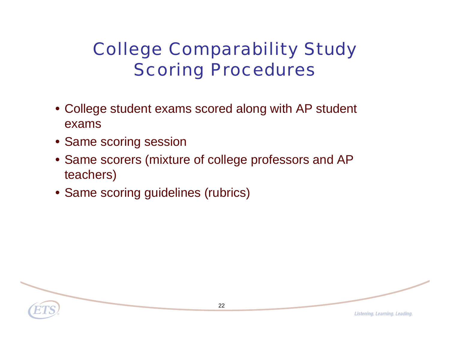# College Comparability Study Scoring Procedures

- College student exams scored along with AP student exams
- Same scoring session
- Same scorers (mixture of college professors and AP teachers)
- Same scoring guidelines (rubrics)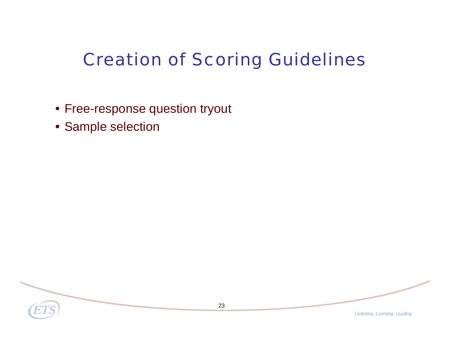# Creation of Scoring Guidelines

- Free-response question tryout
- Sample selection

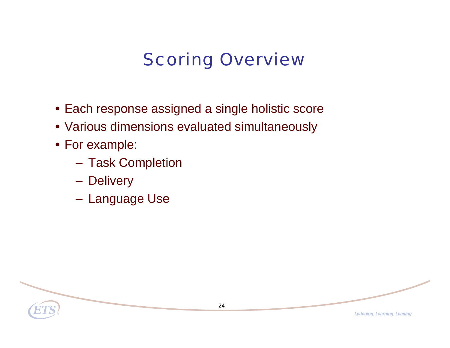# Scoring Overview

- Each response assigned a single holistic score
- Various dimensions evaluated simultaneously
- For example:
	- $\mathcal{L}_{\mathcal{A}}$ Task Completion
	- $\mathcal{L}_{\mathcal{A}}$  , the state of the state  $\mathcal{L}_{\mathcal{A}}$ **Delivery**
	- $\mathcal{L}_{\mathcal{A}}$  , the state of the state  $\mathcal{L}_{\mathcal{A}}$ Language Use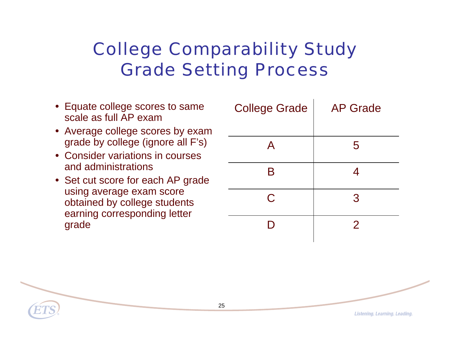## College Comparability Study Grade Setting Process

- Equate college scores to same scale as full AP exam
- Average college scores by exam grade by college (ignore all F's)
- Consider variations in courses and administrations
- Set cut score for each AP grade using average exam score obtained by college students earning corresponding letter grade

| <b>College Grade</b> | <b>AP Grade</b> |  |
|----------------------|-----------------|--|
|                      |                 |  |
| $\mathsf{A}$         | 5               |  |
| B                    | <u>Д</u>        |  |
| C                    | 3               |  |
|                      | 2               |  |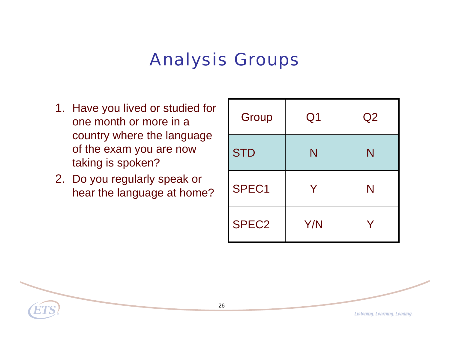## Analysis Groups

- 1. Have you lived or studied for one month or more in a country where the language of the exam you are now taking is spoken?
- 2. Do you regularly speak or hear the language at home?

| Group             | Q <sub>1</sub> | Q <sub>2</sub> |
|-------------------|----------------|----------------|
| <b>STD</b>        | N              | N              |
| SPEC1             | Y              | N              |
| SPEC <sub>2</sub> | Y/N            |                |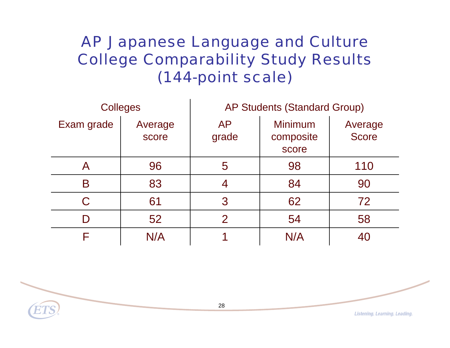AP Japanese Language and Culture College Comparability Study Results (144-point scale)

| <b>Colleges</b> |                  | <b>AP Students (Standard Group)</b> |                                      |                         |
|-----------------|------------------|-------------------------------------|--------------------------------------|-------------------------|
| Exam grade      | Average<br>score | <b>AP</b><br>grade                  | <b>Minimum</b><br>composite<br>score | Average<br><b>Score</b> |
| Α               | 96               | 5                                   | 98                                   | 110                     |
| B               | 83               |                                     | 84                                   | 90                      |
|                 | 61               | 3                                   | 62                                   | 72                      |
|                 | 52               | $\mathcal{P}$                       | 54                                   | 58                      |
|                 | N/A              |                                     | N/A                                  |                         |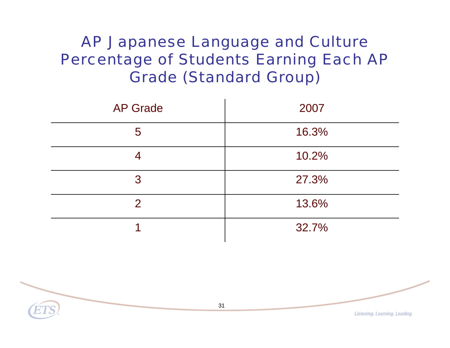#### AP Japanese Language and Culture Percentage of Students Earning Each AP Grade (Standard Group)

| <b>AP Grade</b> | 2007  |  |
|-----------------|-------|--|
| 5               | 16.3% |  |
| 4               | 10.2% |  |
| 3               | 27.3% |  |
| $\overline{2}$  | 13.6% |  |
|                 | 32.7% |  |